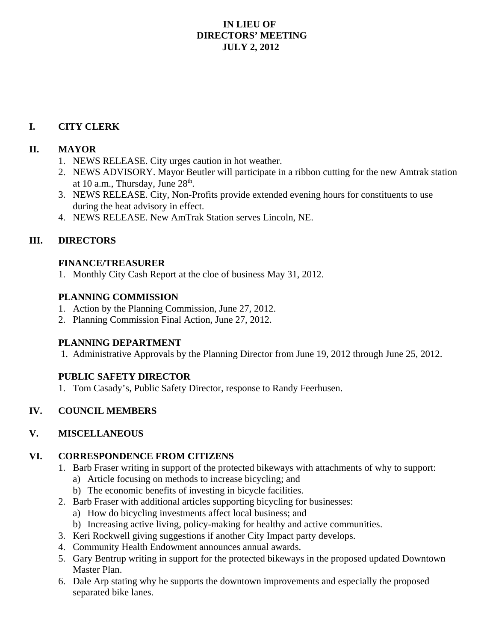#### **IN LIEU OF DIRECTORS' MEETING JULY 2, 2012**

## **I. CITY CLERK**

## **II. MAYOR**

- 1. NEWS RELEASE. City urges caution in hot weather.
- 2. NEWS ADVISORY. Mayor Beutler will participate in a ribbon cutting for the new Amtrak station at 10 a.m., Thursday, June  $28<sup>th</sup>$ .
- 3. NEWS RELEASE. City, Non-Profits provide extended evening hours for constituents to use during the heat advisory in effect.
- 4. NEWS RELEASE. New AmTrak Station serves Lincoln, NE.

## **III. DIRECTORS**

## **FINANCE/TREASURER**

1. Monthly City Cash Report at the cloe of business May 31, 2012.

#### **PLANNING COMMISSION**

- 1. Action by the Planning Commission, June 27, 2012.
- 2. Planning Commission Final Action, June 27, 2012.

## **PLANNING DEPARTMENT**

1. Administrative Approvals by the Planning Director from June 19, 2012 through June 25, 2012.

## **PUBLIC SAFETY DIRECTOR**

1. Tom Casady's, Public Safety Director, response to Randy Feerhusen.

## **IV. COUNCIL MEMBERS**

## **V. MISCELLANEOUS**

## **VI. CORRESPONDENCE FROM CITIZENS**

- 1. Barb Fraser writing in support of the protected bikeways with attachments of why to support: a) Article focusing on methods to increase bicycling; and
	- b) The economic benefits of investing in bicycle facilities.
- 2. Barb Fraser with additional articles supporting bicycling for businesses:
	- a) How do bicycling investments affect local business; and
	- b) Increasing active living, policy-making for healthy and active communities.
- 3. Keri Rockwell giving suggestions if another City Impact party develops.
- 4. Community Health Endowment announces annual awards.
- 5. Gary Bentrup writing in support for the protected bikeways in the proposed updated Downtown Master Plan.
- 6. Dale Arp stating why he supports the downtown improvements and especially the proposed separated bike lanes.